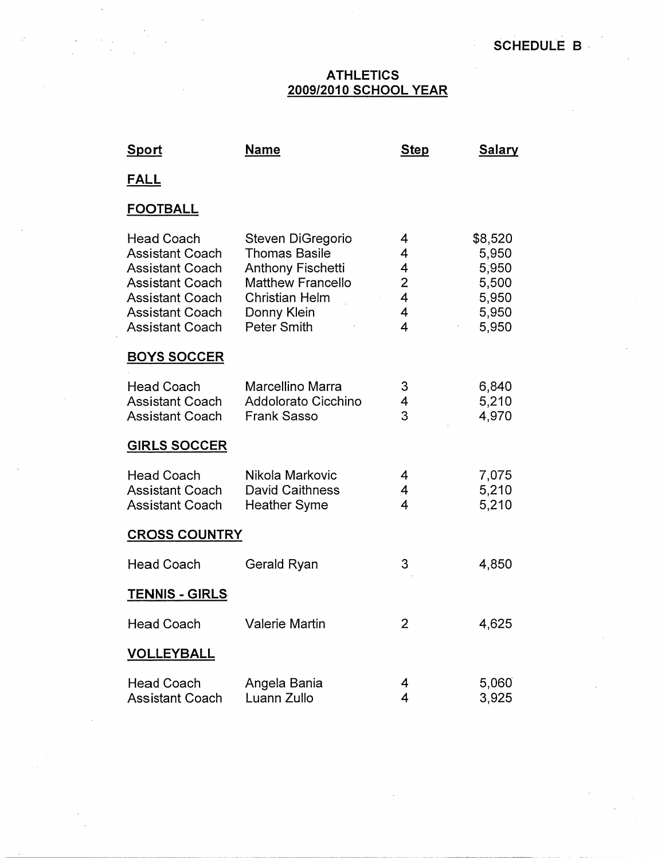## **ATHLETICS 2009/2010 SCHOOL YEAR**

| <u>Sport</u>                                                                                                                                                                  | <b>Name</b>                                                                                                                                              | <b>Step</b>                                                            | <b>Salary</b>                                                 |
|-------------------------------------------------------------------------------------------------------------------------------------------------------------------------------|----------------------------------------------------------------------------------------------------------------------------------------------------------|------------------------------------------------------------------------|---------------------------------------------------------------|
| <u>FALL</u>                                                                                                                                                                   |                                                                                                                                                          |                                                                        |                                                               |
| <b>FOOTBALL</b>                                                                                                                                                               |                                                                                                                                                          |                                                                        |                                                               |
| <b>Head Coach</b><br><b>Assistant Coach</b><br><b>Assistant Coach</b><br><b>Assistant Coach</b><br><b>Assistant Coach</b><br><b>Assistant Coach</b><br><b>Assistant Coach</b> | Steven DiGregorio<br><b>Thomas Basile</b><br><b>Anthony Fischetti</b><br><b>Matthew Francello</b><br><b>Christian Helm</b><br>Donny Klein<br>Peter Smith | 4<br>4<br>4<br>$\overline{2}$<br>$\overline{4}$<br>4<br>$\overline{4}$ | \$8,520<br>5,950<br>5,950<br>5,500<br>5,950<br>5,950<br>5,950 |
| <b>BOYS SOCCER</b>                                                                                                                                                            |                                                                                                                                                          |                                                                        |                                                               |
| <b>Head Coach</b><br><b>Assistant Coach</b><br><b>Assistant Coach</b>                                                                                                         | Marcellino Marra<br>Addolorato Cicchino<br><b>Frank Sasso</b>                                                                                            | 3<br>4<br>3                                                            | 6,840<br>5,210<br>4,970                                       |
| <b>GIRLS SOCCER</b>                                                                                                                                                           |                                                                                                                                                          |                                                                        |                                                               |
| <b>Head Coach</b><br><b>Assistant Coach</b><br><b>Assistant Coach</b>                                                                                                         | Nikola Markovic<br><b>David Caithness</b><br><b>Heather Syme</b>                                                                                         | 4<br>4<br>4                                                            | 7,075<br>5,210<br>5,210                                       |
| <b>CROSS COUNTRY</b>                                                                                                                                                          |                                                                                                                                                          |                                                                        |                                                               |
| <b>Head Coach</b>                                                                                                                                                             | Gerald Ryan                                                                                                                                              | 3                                                                      | 4,850                                                         |
| <b>TENNIS - GIRLS</b>                                                                                                                                                         |                                                                                                                                                          |                                                                        |                                                               |
| <b>Head Coach</b>                                                                                                                                                             | <b>Valerie Martin</b>                                                                                                                                    | $\overline{2}$                                                         | 4,625                                                         |
| <b>VOLLEYBALL</b>                                                                                                                                                             |                                                                                                                                                          |                                                                        |                                                               |
| <b>Head Coach</b><br><b>Assistant Coach</b>                                                                                                                                   | Angela Bania<br>Luann Zullo                                                                                                                              | 4<br>4                                                                 | 5,060<br>3,925                                                |